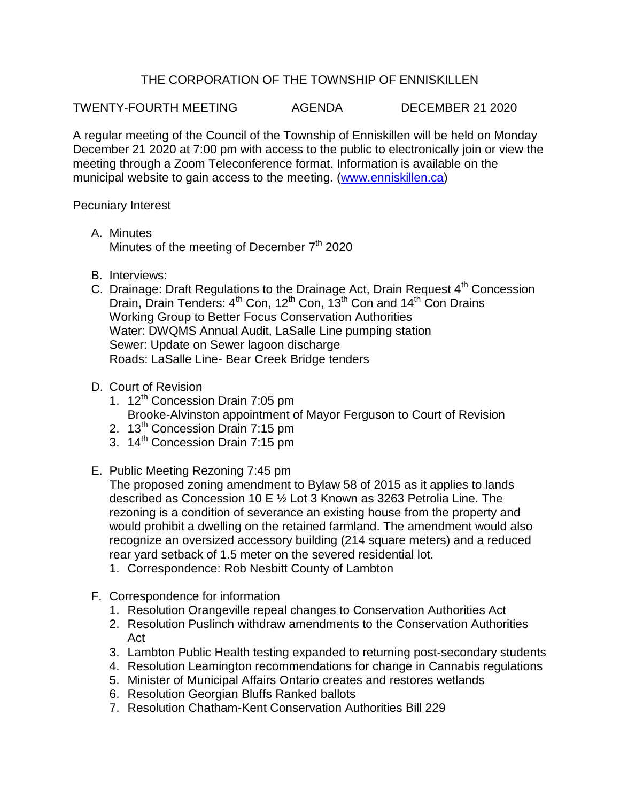## THE CORPORATION OF THE TOWNSHIP OF ENNISKILLEN

TWENTY-FOURTH MEETING AGENDA DECEMBER 21 2020

A regular meeting of the Council of the Township of Enniskillen will be held on Monday December 21 2020 at 7:00 pm with access to the public to electronically join or view the meeting through a Zoom Teleconference format. Information is available on the municipal website to gain access to the meeting. [\(www.enniskillen.ca\)](http://www.enniskillen.ca/)

Pecuniary Interest

- A. Minutes Minutes of the meeting of December 7<sup>th</sup> 2020
- B. Interviews:
- C. Drainage: Draft Regulations to the Drainage Act, Drain Request  $4<sup>th</sup>$  Concession Drain, Drain Tenders: 4<sup>th</sup> Con, 12<sup>th</sup> Con, 13<sup>th</sup> Con and 14<sup>th</sup> Con Drains Working Group to Better Focus Conservation Authorities Water: DWQMS Annual Audit, LaSalle Line pumping station Sewer: Update on Sewer lagoon discharge Roads: LaSalle Line- Bear Creek Bridge tenders

## D. Court of Revision

- 1. 12<sup>th</sup> Concession Drain 7:05 pm Brooke-Alvinston appointment of Mayor Ferguson to Court of Revision
- 2. 13<sup>th</sup> Concession Drain 7:15 pm
- 3. 14<sup>th</sup> Concession Drain 7:15 pm
- E. Public Meeting Rezoning 7:45 pm

The proposed zoning amendment to Bylaw 58 of 2015 as it applies to lands described as Concession 10 E ½ Lot 3 Known as 3263 Petrolia Line. The rezoning is a condition of severance an existing house from the property and would prohibit a dwelling on the retained farmland. The amendment would also recognize an oversized accessory building (214 square meters) and a reduced rear yard setback of 1.5 meter on the severed residential lot.

- 1. Correspondence: Rob Nesbitt County of Lambton
- F. Correspondence for information
	- 1. Resolution Orangeville repeal changes to Conservation Authorities Act
	- 2. Resolution Puslinch withdraw amendments to the Conservation Authorities Act
	- 3. Lambton Public Health testing expanded to returning post-secondary students
	- 4. Resolution Leamington recommendations for change in Cannabis regulations
	- 5. Minister of Municipal Affairs Ontario creates and restores wetlands
	- 6. Resolution Georgian Bluffs Ranked ballots
	- 7. Resolution Chatham-Kent Conservation Authorities Bill 229